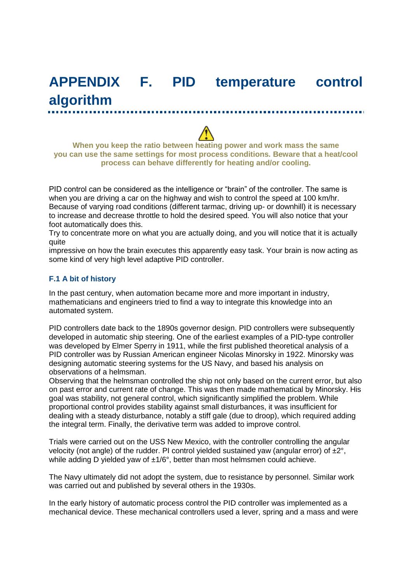# **APPENDIX F. PID temperature control algorithm**

**When you keep the ratio between heating power and work mass the same you can use the same settings for most process conditions. Beware that a heat/cool process can behave differently for heating and/or cooling.**

PID control can be considered as the intelligence or "brain" of the controller. The same is when you are driving a car on the highway and wish to control the speed at 100 km/hr. Because of varying road conditions (different tarmac, driving up- or downhill) it is necessary to increase and decrease throttle to hold the desired speed. You will also notice that your foot automatically does this.

Try to concentrate more on what you are actually doing, and you will notice that it is actually quite

impressive on how the brain executes this apparently easy task. Your brain is now acting as some kind of very high level adaptive PID controller.

#### **F.1 A bit of history**

In the past century, when automation became more and more important in industry, mathematicians and engineers tried to find a way to integrate this knowledge into an automated system.

PID controllers date back to the 1890s governor design. PID controllers were subsequently developed in automatic ship steering. One of the earliest examples of a PID-type controller was developed by Elmer Sperry in 1911, while the first published theoretical analysis of a PID controller was by Russian American engineer Nicolas Minorsky in 1922. Minorsky was designing automatic steering systems for the US Navy, and based his analysis on observations of a helmsman.

Observing that the helmsman controlled the ship not only based on the current error, but also on past error and current rate of change. This was then made mathematical by Minorsky. His goal was stability, not general control, which significantly simplified the problem. While proportional control provides stability against small disturbances, it was insufficient for dealing with a steady disturbance, notably a stiff gale (due to droop), which required adding the integral term. Finally, the derivative term was added to improve control.

Trials were carried out on the USS New Mexico, with the controller controlling the angular velocity (not angle) of the rudder. PI control yielded sustained yaw (angular error) of ±2°, while adding D yielded yaw of  $\pm 1/6^{\circ}$ , better than most helmsmen could achieve.

The Navy ultimately did not adopt the system, due to resistance by personnel. Similar work was carried out and published by several others in the 1930s.

In the early history of automatic process control the PID controller was implemented as a mechanical device. These mechanical controllers used a lever, spring and a mass and were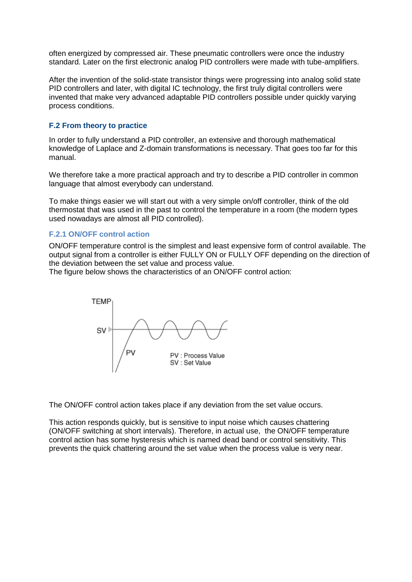often energized by compressed air. These pneumatic controllers were once the industry standard. Later on the first electronic analog PID controllers were made with tube-amplifiers.

After the invention of the solid-state transistor things were progressing into analog solid state PID controllers and later, with digital IC technology, the first truly digital controllers were invented that make very advanced adaptable PID controllers possible under quickly varying process conditions.

#### **F.2 From theory to practice**

In order to fully understand a PID controller, an extensive and thorough mathematical knowledge of Laplace and Z-domain transformations is necessary. That goes too far for this manual.

We therefore take a more practical approach and try to describe a PID controller in common language that almost everybody can understand.

To make things easier we will start out with a very simple on/off controller, think of the old thermostat that was used in the past to control the temperature in a room (the modern types used nowadays are almost all PID controlled).

#### **F.2.1 ON/OFF control action**

ON/OFF temperature control is the simplest and least expensive form of control available. The output signal from a controller is either FULLY ON or FULLY OFF depending on the direction of the deviation between the set value and process value.

The figure below shows the characteristics of an ON/OFF control action:



The ON/OFF control action takes place if any deviation from the set value occurs.

This action responds quickly, but is sensitive to input noise which causes chattering (ON/OFF switching at short intervals). Therefore, in actual use, the ON/OFF temperature control action has some hysteresis which is named dead band or control sensitivity. This prevents the quick chattering around the set value when the process value is very near.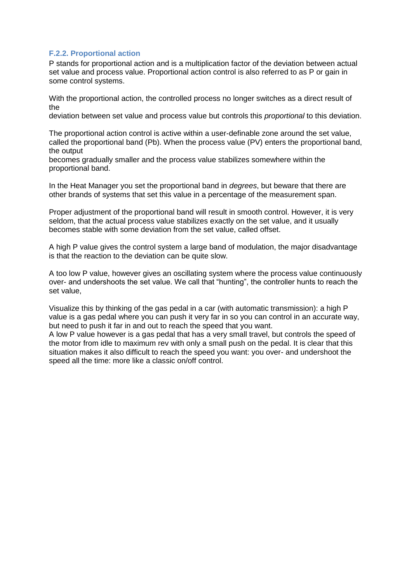## **F.2.2. Proportional action**

P stands for proportional action and is a multiplication factor of the deviation between actual set value and process value. Proportional action control is also referred to as P or gain in some control systems.

With the proportional action, the controlled process no longer switches as a direct result of the

deviation between set value and process value but controls this *proportional* to this deviation.

The proportional action control is active within a user-definable zone around the set value, called the proportional band (Pb). When the process value (PV) enters the proportional band, the output

becomes gradually smaller and the process value stabilizes somewhere within the proportional band.

In the Heat Manager you set the proportional band in *degrees*, but beware that there are other brands of systems that set this value in a percentage of the measurement span.

Proper adjustment of the proportional band will result in smooth control. However, it is very seldom, that the actual process value stabilizes exactly on the set value, and it usually becomes stable with some deviation from the set value, called offset.

A high P value gives the control system a large band of modulation, the major disadvantage is that the reaction to the deviation can be quite slow.

A too low P value, however gives an oscillating system where the process value continuously over- and undershoots the set value. We call that "hunting", the controller hunts to reach the set value,

Visualize this by thinking of the gas pedal in a car (with automatic transmission): a high P value is a gas pedal where you can push it very far in so you can control in an accurate way, but need to push it far in and out to reach the speed that you want.

A low P value however is a gas pedal that has a very small travel, but controls the speed of the motor from idle to maximum rev with only a small push on the pedal. It is clear that this situation makes it also difficult to reach the speed you want: you over- and undershoot the speed all the time: more like a classic on/off control.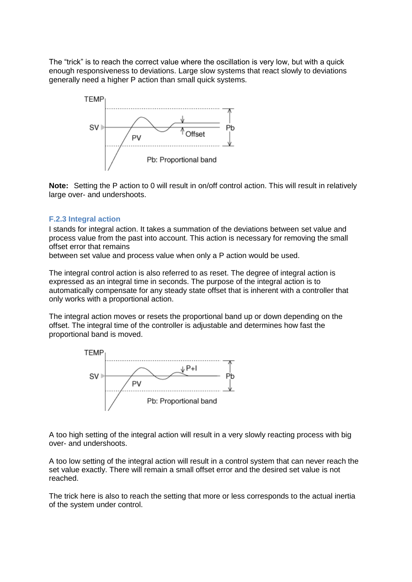The "trick" is to reach the correct value where the oscillation is very low, but with a quick enough responsiveness to deviations. Large slow systems that react slowly to deviations generally need a higher P action than small quick systems.



**Note:** Setting the P action to 0 will result in on/off control action. This will result in relatively large over- and undershoots.

#### **F.2.3 Integral action**

I stands for integral action. It takes a summation of the deviations between set value and process value from the past into account. This action is necessary for removing the small offset error that remains

between set value and process value when only a P action would be used.

The integral control action is also referred to as reset. The degree of integral action is expressed as an integral time in seconds. The purpose of the integral action is to automatically compensate for any steady state offset that is inherent with a controller that only works with a proportional action.

The integral action moves or resets the proportional band up or down depending on the offset. The integral time of the controller is adjustable and determines how fast the proportional band is moved.



A too high setting of the integral action will result in a very slowly reacting process with big over- and undershoots.

A too low setting of the integral action will result in a control system that can never reach the set value exactly. There will remain a small offset error and the desired set value is not reached.

The trick here is also to reach the setting that more or less corresponds to the actual inertia of the system under control.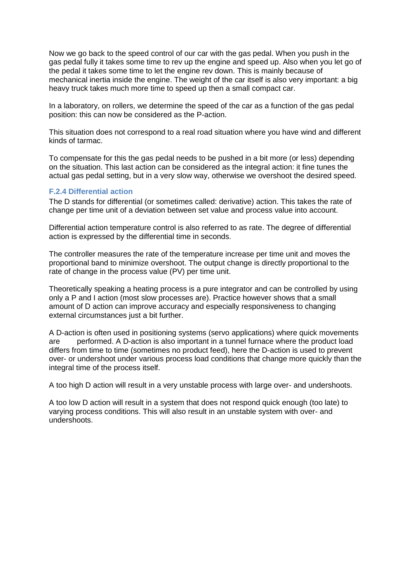Now we go back to the speed control of our car with the gas pedal. When you push in the gas pedal fully it takes some time to rev up the engine and speed up. Also when you let go of the pedal it takes some time to let the engine rev down. This is mainly because of mechanical inertia inside the engine. The weight of the car itself is also very important: a big heavy truck takes much more time to speed up then a small compact car.

In a laboratory, on rollers, we determine the speed of the car as a function of the gas pedal position: this can now be considered as the P-action.

This situation does not correspond to a real road situation where you have wind and different kinds of tarmac.

To compensate for this the gas pedal needs to be pushed in a bit more (or less) depending on the situation. This last action can be considered as the integral action: it fine tunes the actual gas pedal setting, but in a very slow way, otherwise we overshoot the desired speed.

## **F.2.4 Differential action**

The D stands for differential (or sometimes called: derivative) action. This takes the rate of change per time unit of a deviation between set value and process value into account.

Differential action temperature control is also referred to as rate. The degree of differential action is expressed by the differential time in seconds.

The controller measures the rate of the temperature increase per time unit and moves the proportional band to minimize overshoot. The output change is directly proportional to the rate of change in the process value (PV) per time unit.

Theoretically speaking a heating process is a pure integrator and can be controlled by using only a P and I action (most slow processes are). Practice however shows that a small amount of D action can improve accuracy and especially responsiveness to changing external circumstances just a bit further.

A D-action is often used in positioning systems (servo applications) where quick movements are performed. A D-action is also important in a tunnel furnace where the product load differs from time to time (sometimes no product feed), here the D-action is used to prevent over- or undershoot under various process load conditions that change more quickly than the integral time of the process itself.

A too high D action will result in a very unstable process with large over- and undershoots.

A too low D action will result in a system that does not respond quick enough (too late) to varying process conditions. This will also result in an unstable system with over- and undershoots.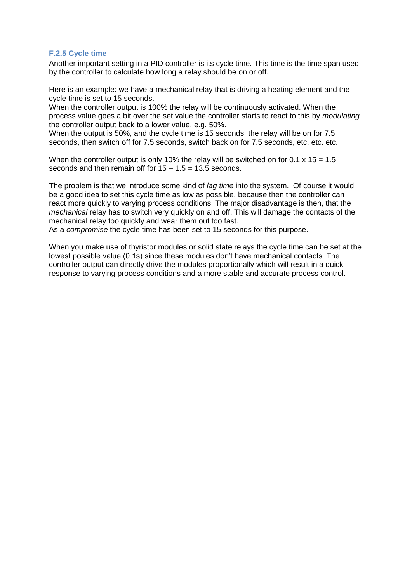## **F.2.5 Cycle time**

Another important setting in a PID controller is its cycle time. This time is the time span used by the controller to calculate how long a relay should be on or off.

Here is an example: we have a mechanical relay that is driving a heating element and the cycle time is set to 15 seconds.

When the controller output is 100% the relay will be continuously activated. When the process value goes a bit over the set value the controller starts to react to this by *modulating* the controller output back to a lower value, e.g. 50%.

When the output is 50%, and the cycle time is 15 seconds, the relay will be on for 7.5 seconds, then switch off for 7.5 seconds, switch back on for 7.5 seconds, etc. etc. etc.

When the controller output is only 10% the relay will be switched on for 0.1  $\times$  15 = 1.5 seconds and then remain off for  $15 - 1.5 = 13.5$  seconds.

The problem is that we introduce some kind of *lag time* into the system. Of course it would be a good idea to set this cycle time as low as possible, because then the controller can react more quickly to varying process conditions. The major disadvantage is then, that the *mechanical* relay has to switch very quickly on and off. This will damage the contacts of the mechanical relay too quickly and wear them out too fast.

As a *compromise* the cycle time has been set to 15 seconds for this purpose.

When you make use of thyristor modules or solid state relays the cycle time can be set at the lowest possible value (0.1s) since these modules don't have mechanical contacts. The controller output can directly drive the modules proportionally which will result in a quick response to varying process conditions and a more stable and accurate process control.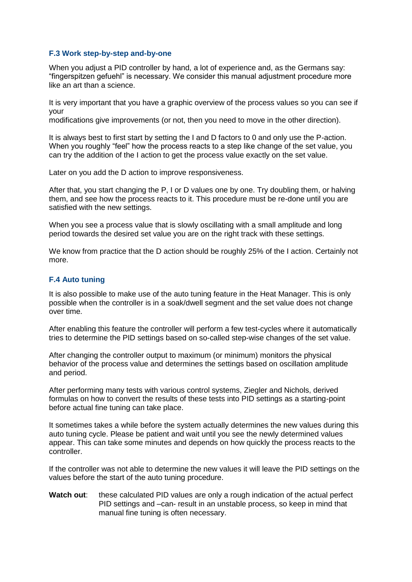#### **F.3 Work step-by-step and-by-one**

When you adjust a PID controller by hand, a lot of experience and, as the Germans say: "fingerspitzen gefuehl" is necessary. We consider this manual adjustment procedure more like an art than a science.

It is very important that you have a graphic overview of the process values so you can see if your

modifications give improvements (or not, then you need to move in the other direction).

It is always best to first start by setting the I and D factors to 0 and only use the P-action. When you roughly "feel" how the process reacts to a step like change of the set value, you can try the addition of the I action to get the process value exactly on the set value.

Later on you add the D action to improve responsiveness.

After that, you start changing the P, I or D values one by one. Try doubling them, or halving them, and see how the process reacts to it. This procedure must be re-done until you are satisfied with the new settings.

When you see a process value that is slowly oscillating with a small amplitude and long period towards the desired set value you are on the right track with these settings.

We know from practice that the D action should be roughly 25% of the I action. Certainly not more.

#### **F.4 Auto tuning**

It is also possible to make use of the auto tuning feature in the Heat Manager. This is only possible when the controller is in a soak/dwell segment and the set value does not change over time.

After enabling this feature the controller will perform a few test-cycles where it automatically tries to determine the PID settings based on so-called step-wise changes of the set value.

After changing the controller output to maximum (or minimum) monitors the physical behavior of the process value and determines the settings based on oscillation amplitude and period.

After performing many tests with various control systems, Ziegler and Nichols, derived formulas on how to convert the results of these tests into PID settings as a starting-point before actual fine tuning can take place.

It sometimes takes a while before the system actually determines the new values during this auto tuning cycle. Please be patient and wait until you see the newly determined values appear. This can take some minutes and depends on how quickly the process reacts to the controller.

If the controller was not able to determine the new values it will leave the PID settings on the values before the start of the auto tuning procedure.

**Watch out**: these calculated PID values are only a rough indication of the actual perfect PID settings and –can- result in an unstable process, so keep in mind that manual fine tuning is often necessary.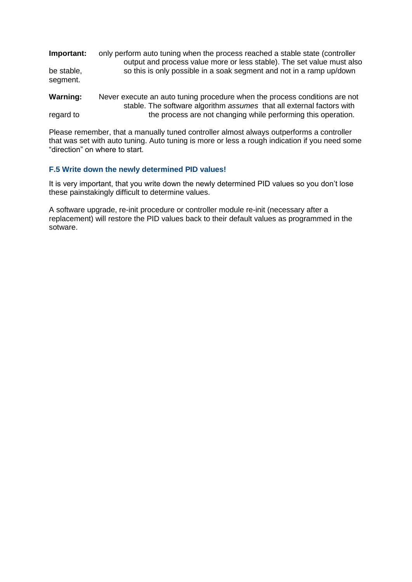| Important:<br>be stable,<br>segment. | only perform auto tuning when the process reached a stable state (controller<br>output and process value more or less stable). The set value must also<br>so this is only possible in a soak segment and not in a ramp up/down |
|--------------------------------------|--------------------------------------------------------------------------------------------------------------------------------------------------------------------------------------------------------------------------------|
| <b>Warning:</b>                      | Never execute an auto tuning procedure when the process conditions are not<br>stable. The software algorithm assumes that all external factors with                                                                            |
| regard to                            | the process are not changing while performing this operation.                                                                                                                                                                  |

Please remember, that a manually tuned controller almost always outperforms a controller that was set with auto tuning. Auto tuning is more or less a rough indication if you need some "direction" on where to start.

## **F.5 Write down the newly determined PID values!**

It is very important, that you write down the newly determined PID values so you don't lose these painstakingly difficult to determine values.

A software upgrade, re-init procedure or controller module re-init (necessary after a replacement) will restore the PID values back to their default values as programmed in the sotware.